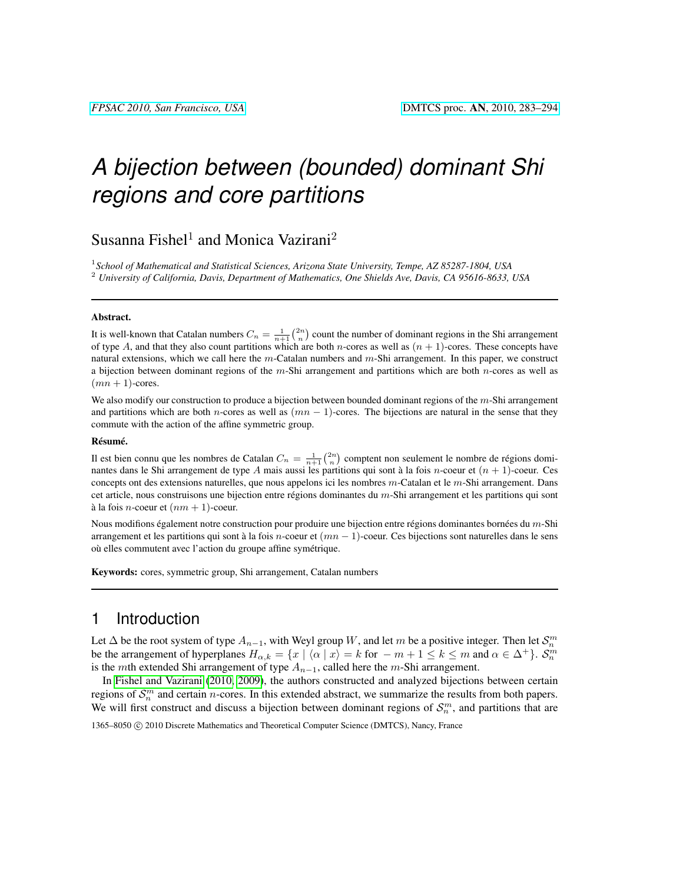# *A bijection between (bounded) dominant Shi regions and core partitions*

Susanna Fishel<sup>1</sup> and Monica Vazirani<sup>2</sup>

1 *School of Mathematical and Statistical Sciences, Arizona State University, Tempe, AZ 85287-1804, USA* <sup>2</sup> *University of California, Davis, Department of Mathematics, One Shields Ave, Davis, CA 95616-8633, USA*

#### Abstract.

It is well-known that Catalan numbers  $C_n = \frac{1}{n+1} {2n \choose n}$  count the number of dominant regions in the Shi arrangement of type A, and that they also count partitions which are both *n*-cores as well as  $(n + 1)$ -cores. These concepts have natural extensions, which we call here the  $m$ -Catalan numbers and  $m$ -Shi arrangement. In this paper, we construct a bijection between dominant regions of the m-Shi arrangement and partitions which are both  $n$ -cores as well as  $(mn + 1)$ -cores.

We also modify our construction to produce a bijection between bounded dominant regions of the  $m$ -Shi arrangement and partitions which are both n-cores as well as  $(mn - 1)$ -cores. The bijections are natural in the sense that they commute with the action of the affine symmetric group.

#### Résumé.

Il est bien connu que les nombres de Catalan  $C_n = \frac{1}{n+1} {2n \choose n}$  comptent non seulement le nombre de régions dominantes dans le Shi arrangement de type A mais aussi les partitions qui sont à la fois n-coeur et  $(n + 1)$ -coeur. Ces concepts ont des extensions naturelles, que nous appelons ici les nombres  $m$ -Catalan et le  $m$ -Shi arrangement. Dans cet article, nous construisons une bijection entre régions dominantes du m-Shi arrangement et les partitions qui sont à la fois *n*-coeur et  $(nm + 1)$ -coeur.

Nous modifions également notre construction pour produire une bijection entre régions dominantes bornées du m-Shi arrangement et les partitions qui sont à la fois n-coeur et  $(mn - 1)$ -coeur. Ces bijections sont naturelles dans le sens où elles commutent avec l'action du groupe affine symétrique.

Keywords: cores, symmetric group, Shi arrangement, Catalan numbers

### 1 Introduction

Let  $\Delta$  be the root system of type  $A_{n-1}$ , with Weyl group W, and let m be a positive integer. Then let  $\mathcal{S}_n^m$ be the arrangement of hyperplanes  $H_{\alpha,k} = \{x \mid \langle \alpha \mid x \rangle = k \text{ for } -m+1 \leq k \leq m \text{ and } \alpha \in \Delta^+\}\.$ is the mth extended Shi arrangement of type  $A_{n-1}$ , called here the m-Shi arrangement.

In [Fishel and Vazirani](#page-11-0) [\(2010,](#page-11-0) [2009\)](#page-11-1), the authors constructed and analyzed bijections between certain regions of  $\mathcal{S}_n^m$  and certain *n*-cores. In this extended abstract, we summarize the results from both papers. We will first construct and discuss a bijection between dominant regions of  $\mathcal{S}_n^m$ , and partitions that are

1365–8050 C 2010 Discrete Mathematics and Theoretical Computer Science (DMTCS), Nancy, France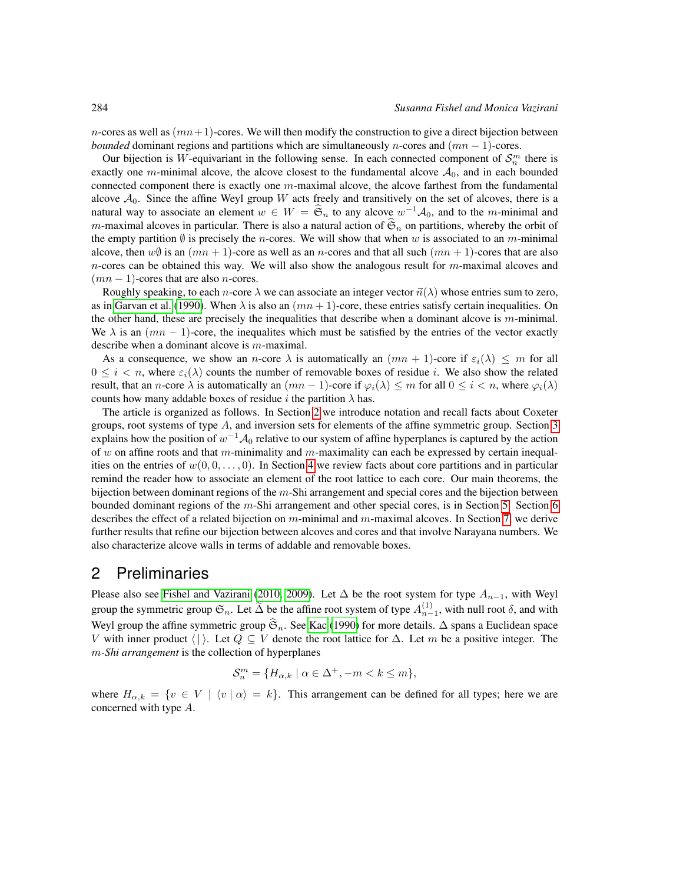n-cores as well as  $(mn+1)$ -cores. We will then modify the construction to give a direct bijection between *bounded* dominant regions and partitions which are simultaneously *n*-cores and  $(mn - 1)$ -cores.

Our bijection is W-equivariant in the following sense. In each connected component of  $\mathcal{S}_n^m$  there is exactly one m-minimal alcove, the alcove closest to the fundamental alcove  $A_0$ , and in each bounded connected component there is exactly one  $m$ -maximal alcove, the alcove farthest from the fundamental alcove  $A_0$ . Since the affine Weyl group W acts freely and transitively on the set of alcoves, there is a natural way to associate an element  $w \in W = \widehat{\mathfrak{S}}_n$  to any alcove  $w^{-1}A_0$ , and to the m-minimal and m-maximal alcoves in particular. There is also a natural action of  $\mathfrak{S}_n$  on partitions, whereby the orbit of the empty partition  $\emptyset$  is precisely the *n*-cores. We will show that when w is associated to an m-minimal alcove, then  $w\emptyset$  is an  $(mn + 1)$ -core as well as an *n*-cores and that all such  $(mn + 1)$ -cores that are also  $n$ -cores can be obtained this way. We will also show the analogous result for  $m$ -maximal alcoves and  $(mn - 1)$ -cores that are also *n*-cores.

Roughly speaking, to each *n*-core  $\lambda$  we can associate an integer vector  $\vec{n}(\lambda)$  whose entries sum to zero, as in [Garvan et al.](#page-11-2) [\(1990\)](#page-11-2). When  $\lambda$  is also an  $(mn + 1)$ -core, these entries satisfy certain inequalities. On the other hand, these are precisely the inequalities that describe when a dominant alcove is m-minimal. We  $\lambda$  is an  $(mn - 1)$ -core, the inequalites which must be satisfied by the entries of the vector exactly describe when a dominant alcove is m-maximal.

As a consequence, we show an n-core  $\lambda$  is automatically an  $(mn + 1)$ -core if  $\varepsilon_i(\lambda) \leq m$  for all  $0 \leq i \leq n$ , where  $\varepsilon_i(\lambda)$  counts the number of removable boxes of residue i. We also show the related result, that an *n*-core  $\lambda$  is automatically an  $(mn - 1)$ -core if  $\varphi_i(\lambda) \leq m$  for all  $0 \leq i \leq n$ , where  $\varphi_i(\lambda)$ counts how many addable boxes of residue i the partition  $\lambda$  has.

The article is organized as follows. In Section [2](#page-1-0) we introduce notation and recall facts about Coxeter groups, root systems of type A, and inversion sets for elements of the affine symmetric group. Section [3](#page-2-0) explains how the position of  $w^{-1} \mathcal{A}_0$  relative to our system of affine hyperplanes is captured by the action of w on affine roots and that m-minimality and m-maximality can each be expressed by certain inequalities on the entries of  $w(0, 0, \ldots, 0)$ . In Section [4](#page-3-0) we review facts about core partitions and in particular remind the reader how to associate an element of the root lattice to each core. Our main theorems, the bijection between dominant regions of the m-Shi arrangement and special cores and the bijection between bounded dominant regions of the m-Shi arrangement and other special cores, is in Section [5.](#page-5-0) Section [6](#page-5-1) describes the effect of a related bijection on  $m$ -minimal and  $m$ -maximal alcoves. In Section [7,](#page-8-0) we derive further results that refine our bijection between alcoves and cores and that involve Narayana numbers. We also characterize alcove walls in terms of addable and removable boxes.

### <span id="page-1-0"></span>2 Preliminaries

Please also see [Fishel and Vazirani](#page-11-0) [\(2010,](#page-11-0) [2009\)](#page-11-1). Let  $\Delta$  be the root system for type  $A_{n-1}$ , with Weyl group the symmetric group  $\mathfrak{S}_n$ . Let  $\widetilde{\Delta}$  be the affine root system of type  $A_{n-1}^{(1)}$ , with null root  $\delta$ , and with Weyl group the affine symmetric group  $\hat{\mathfrak{S}}_n$ . See [Kac](#page-11-3) [\(1990\)](#page-11-3) for more details.  $\Delta$  spans a Euclidean space V with inner product  $\langle \cdot | \cdot \rangle$ . Let  $Q \subseteq V$  denote the root lattice for  $\Delta$ . Let m be a positive integer. The m*-Shi arrangement* is the collection of hyperplanes

$$
\mathcal{S}_n^m = \{ H_{\alpha,k} \mid \alpha \in \Delta^+, -m < k \le m \},
$$

where  $H_{\alpha,k} = \{v \in V \mid \langle v | \alpha \rangle = k\}.$  This arrangement can be defined for all types; here we are concerned with type A.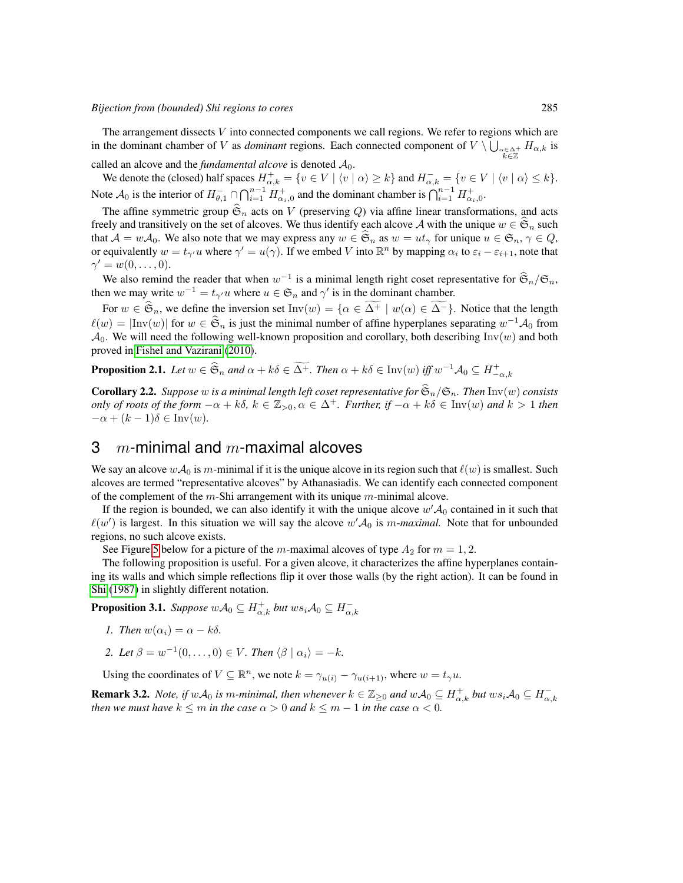*Bijection from (bounded) Shi regions to cores* 285

The arrangement dissects V into connected components we call regions. We refer to regions which are in the dominant chamber of V as *dominant* regions. Each connected component of  $V \setminus \bigcup_{\substack{\alpha \in \Delta^+ \\ k \in \mathbb{Z}}} H_{\alpha,k}$  is

called an alcove and the *fundamental alcove* is denoted  $A_0$ .

We denote the (closed) half spaces  $H^+_{\alpha,k} = \{v \in V \mid \langle v \mid \alpha \rangle \geq k\}$  and  $H^-_{\alpha,k} = \{v \in V \mid \langle v \mid \alpha \rangle \leq k\}.$ Note  $\mathcal{A}_0$  is the interior of  $H_{\theta,1}^- \cap \bigcap_{i=1}^{n-1} H_{\alpha_i,0}^+$  and the dominant chamber is  $\bigcap_{i=1}^{n-1} H_{\alpha_i,0}^+$ .

The affine symmetric group  $\mathfrak{S}_n$  acts on V (preserving Q) via affine linear transformations, and acts freely and transitively on the set of alcoves. We thus identify each alcove A with the unique  $w \in \mathfrak{S}_n$  such that  $\mathcal{A} = w\mathcal{A}_0$ . We also note that we may express any  $w \in \mathfrak{S}_n$  as  $w = ut_\gamma$  for unique  $u \in \mathfrak{S}_n$ ,  $\gamma \in Q$ , or equivalently  $w = t_{\gamma'}u$  where  $\gamma' = u(\gamma)$ . If we embed V into  $\mathbb{R}^n$  by mapping  $\alpha_i$  to  $\varepsilon_i - \varepsilon_{i+1}$ , note that  $\gamma' = w(0, \ldots, 0).$ 

We also remind the reader that when  $w^{-1}$  is a minimal length right coset representative for  $\hat{\mathfrak{S}}_n/\mathfrak{S}_n$ , then we may write  $w^{-1} = t_{\gamma'} u$  where  $u \in \mathfrak{S}_n$  and  $\gamma'$  is in the dominant chamber.

For  $w \in \widehat{\mathfrak{S}}_n$ , we define the inversion set Inv $(w) = \{ \alpha \in \Delta^+ \mid w(\alpha) \in \Delta^- \}$ . Notice that the length  $\ell(w) = |\text{Inv}(w)|$  for  $w \in \mathfrak{S}_n$  is just the minimal number of affine hyperplanes separating  $w^{-1}A_0$  from  $A_0$ . We will need the following well-known proposition and corollary, both describing Inv(w) and both proved in [Fishel and Vazirani](#page-11-0) [\(2010\)](#page-11-0).

<span id="page-2-1"></span>**Proposition 2.1.** Let  $w \in \widehat{S}_n$  and  $\alpha + k\delta \in \widetilde{\Delta^+}$ . Then  $\alpha + k\delta \in \text{Inv}(w)$  iff  $w^{-1}A_0 \subseteq H_{-\alpha,k}^+$ 

**Corollary 2.2.** *Suppose* w *is a minimal length left coset representative for*  $\hat{\mathfrak{S}}_n/\mathfrak{S}_n$ *. Then* Inv(w) *consists only of roots of the form*  $-\alpha + k\delta$ ,  $k \in \mathbb{Z}_{>0}$ ,  $\alpha \in \Delta^+$ *. Further, if*  $-\alpha + k\delta \in \text{Inv}(w)$  *and*  $k > 1$  *then*  $-\alpha + (k-1)\delta \in \text{Inv}(w)$ .

### <span id="page-2-0"></span>3  $m$ -minimal and  $m$ -maximal alcoves

We say an alcove  $w\mathcal{A}_0$  is m-minimal if it is the unique alcove in its region such that  $\ell(w)$  is smallest. Such alcoves are termed "representative alcoves" by Athanasiadis. We can identify each connected component of the complement of the  $m$ -Shi arrangement with its unique  $m$ -minimal alcove.

If the region is bounded, we can also identify it with the unique alcove  $w' A_0$  contained in it such that  $\ell(w')$  is largest. In this situation we will say the alcove  $w' \mathcal{A}_0$  is m-maximal. Note that for unbounded regions, no such alcove exists.

See Figure [5](#page-8-1) below for a picture of the m-maximal alcoves of type  $A_2$  for  $m = 1, 2$ .

The following proposition is useful. For a given alcove, it characterizes the affine hyperplanes containing its walls and which simple reflections flip it over those walls (by the right action). It can be found in [Shi](#page-11-4) [\(1987\)](#page-11-4) in slightly different notation.

<span id="page-2-2"></span>**Proposition 3.1.** *Suppose*  $w{\cal A}_0 \subseteq H_{\alpha,k}^+$  *but*  $ws_i{\cal A}_0 \subseteq H_{\alpha,k}^-$ 

- *1. Then*  $w(\alpha_i) = \alpha k\delta$ .
- 2. Let  $\beta = w^{-1}(0, \ldots, 0) \in V$ *. Then*  $\langle \beta | \alpha_i \rangle = -k$ *.*

Using the coordinates of  $V \subseteq \mathbb{R}^n$ , we note  $k = \gamma_{u(i)} - \gamma_{u(i+1)}$ , where  $w = t_{\gamma}u$ .

<span id="page-2-3"></span>**Remark 3.2.** *Note, if*  $wA_0$  *is* m-minimal, then whenever  $k \in \mathbb{Z}_{\geq 0}$  and  $wA_0 \subseteq H_{\alpha,k}^+$  but  $ws_iA_0 \subseteq H_{\alpha,k}^$ *then we must have*  $k \leq m$  *in the case*  $\alpha > 0$  *and*  $k \leq m - 1$  *in the case*  $\alpha < 0$ *.*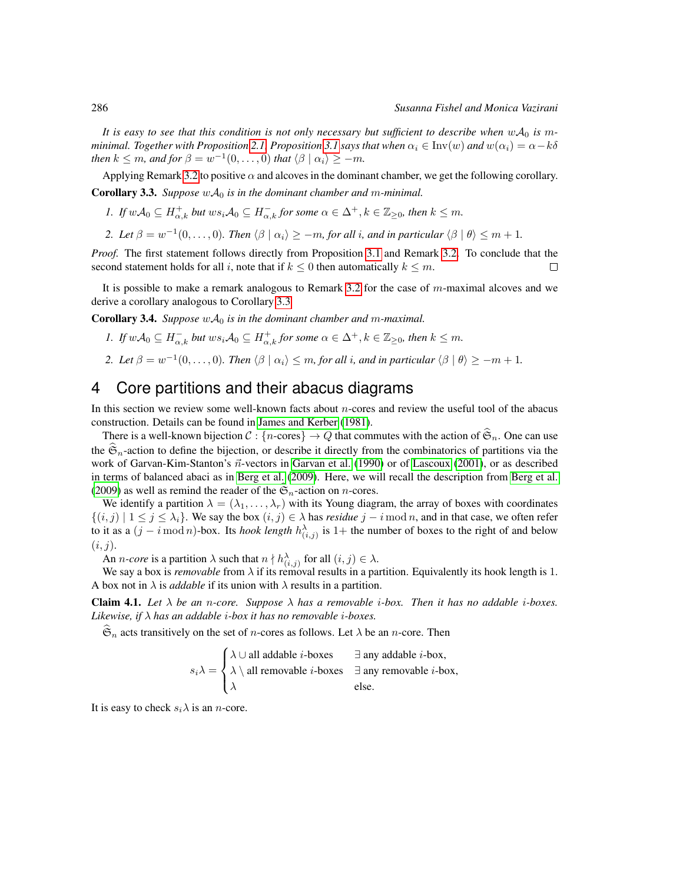It is easy to see that this condition is not only necessary but sufficient to describe when  $wA_0$  is m*minimal. Together with Proposition* [2.1,](#page-2-1) *Proposition* [3.1](#page-2-2) *says that when*  $\alpha_i \in Inv(w)$  *and*  $w(\alpha_i) = \alpha - k\delta$ *then*  $k \leq m$ , and for  $\beta = w^{-1}(0, \ldots, 0)$  that  $\langle \beta | \alpha_i \rangle \geq -m$ .

<span id="page-3-1"></span>Applying Remark [3.2](#page-2-3) to positive  $\alpha$  and alcoves in the dominant chamber, we get the following corollary. **Corollary 3.3.** *Suppose*  $w \mathcal{A}_0$  *is in the dominant chamber and m-minimal.* 

- *1. If*  $w\mathcal{A}_0 \subseteq H_{\alpha,k}^+$  but  $ws_i\mathcal{A}_0 \subseteq H_{\alpha,k}^-$  for some  $\alpha \in \Delta^+, k \in \mathbb{Z}_{\geq 0}$ , then  $k \leq m$ .
- *2. Let*  $\beta = w^{-1}(0, \ldots, 0)$ *. Then*  $\langle \beta | \alpha_i \rangle \ge -m$ *, for all i, and in particular*  $\langle \beta | \theta \rangle \le m + 1$ *.*

*Proof.* The first statement follows directly from Proposition [3.1](#page-2-2) and Remark [3.2.](#page-2-3) To conclude that the second statement holds for all i, note that if  $k \leq 0$  then automatically  $k \leq m$ .  $\Box$ 

It is possible to make a remark analogous to Remark [3.2](#page-2-3) for the case of  $m$ -maximal alcoves and we derive a corollary analogous to Corollary [3.3](#page-3-1)

<span id="page-3-2"></span>**Corollary 3.4.** *Suppose*  $wA_0$  *is in the dominant chamber and m-maximal.* 

- *1. If*  $wA_0 \subseteq H_{\alpha,k}^-$  *but*  $ws_iA_0 \subseteq H_{\alpha,k}^+$  *for some*  $\alpha \in \Delta^+, k \in \mathbb{Z}_{\geq 0}$ *, then*  $k \leq m$ *.*
- 2. Let  $\beta = w^{-1}(0, \ldots, 0)$ . Then  $\langle \beta | \alpha_i \rangle \leq m$ , for all i, and in particular  $\langle \beta | \theta \rangle \geq -m+1$ .

## <span id="page-3-0"></span>4 Core partitions and their abacus diagrams

In this section we review some well-known facts about  $n$ -cores and review the useful tool of the abacus construction. Details can be found in [James and Kerber](#page-11-5) [\(1981\)](#page-11-5).

There is a well-known bijection  $C : \{n\text{-cores}\}\to Q$  that commutes with the action of  $\hat{\mathfrak{S}}_n$ . One can use the  $\mathfrak{S}_n$ -action to define the bijection, or describe it directly from the combinatorics of partitions via the work of Garvan-Kim-Stanton's  $\vec{n}$ -vectors in [Garvan et al.](#page-11-2) [\(1990\)](#page-11-2) or of [Lascoux](#page-11-6) [\(2001\)](#page-11-6), or as described in terms of balanced abaci as in [Berg et al.](#page-11-7) [\(2009\)](#page-11-7). Here, we will recall the description from [Berg et al.](#page-11-7) [\(2009\)](#page-11-7) as well as remind the reader of the  $\mathfrak{S}_n$ -action on n-cores.

We identify a partition  $\lambda = (\lambda_1, \dots, \lambda_r)$  with its Young diagram, the array of boxes with coordinates  ${(i, j) | 1 \le j \le \lambda_i}$ . We say the box  $(i, j) \in \lambda$  has *residue*  $j - i \mod n$ , and in that case, we often refer to it as a  $(j - i \mod n)$ -box. Its *hook length*  $h_{(i,j)}^{\lambda}$  is 1+ the number of boxes to the right of and below  $(i, j).$ 

An *n*-core is a partition  $\lambda$  such that  $n \nmid h_{(i,j)}^{\lambda}$  for all  $(i, j) \in \lambda$ .

We say a box is *removable* from  $\lambda$  if its removal results in a partition. Equivalently its hook length is 1. A box not in  $\lambda$  is *addable* if its union with  $\lambda$  results in a partition.

**Claim 4.1.** Let  $\lambda$  be an n-core. Suppose  $\lambda$  has a removable *i*-box. Then it has no addable *i*-boxes. *Likewise, if* λ *has an addable* i*-box it has no removable* i*-boxes.*

 $\hat{\mathfrak{S}}_n$  acts transitively on the set of *n*-cores as follows. Let  $\lambda$  be an *n*-core. Then

| $\bigwedge \cup$ all addable <i>i</i> -boxes                                                                                          | $\exists$ any addable <i>i</i> -box, |
|---------------------------------------------------------------------------------------------------------------------------------------|--------------------------------------|
| $s_i \lambda = \left\{ \lambda \setminus \text{all removable } i\text{-boxes } \exists \text{ any removable } i\text{-box,} \right\}$ |                                      |
| $\lambda$                                                                                                                             | else.                                |

It is easy to check  $s_i \lambda$  is an *n*-core.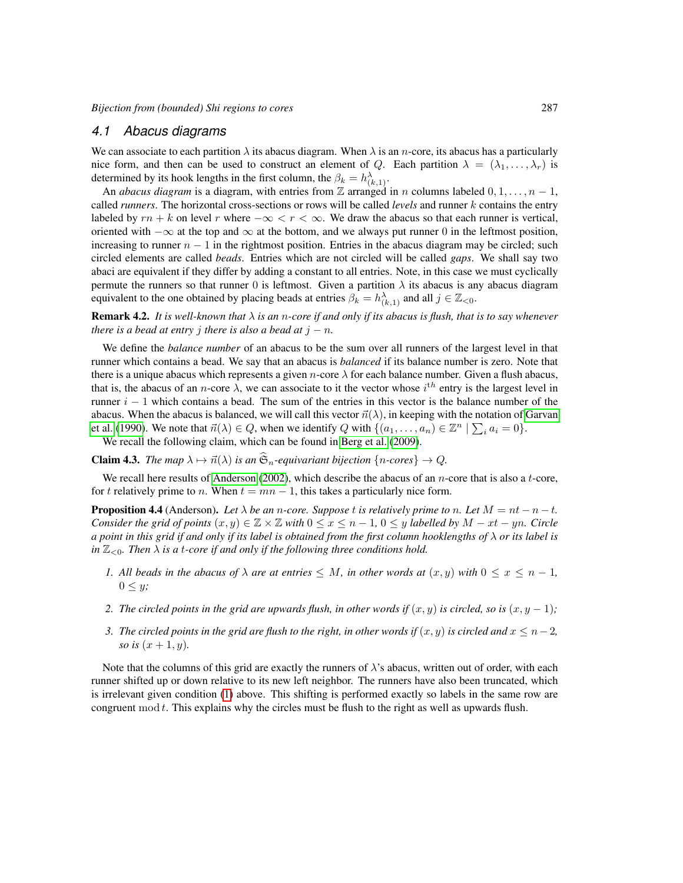#### *4.1 Abacus diagrams*

We can associate to each partition  $\lambda$  its abacus diagram. When  $\lambda$  is an *n*-core, its abacus has a particularly nice form, and then can be used to construct an element of Q. Each partition  $\lambda = (\lambda_1, \dots, \lambda_r)$  is determined by its hook lengths in the first column, the  $\beta_k = h^{\lambda}_{(k,1)}$ .

An *abacus diagram* is a diagram, with entries from Z arranged in n columns labeled  $0, 1, \ldots, n - 1$ , called *runners*. The horizontal cross-sections or rows will be called *levels* and runner k contains the entry labeled by  $rn + k$  on level r where  $-\infty < r < \infty$ . We draw the abacus so that each runner is vertical, oriented with  $-\infty$  at the top and  $\infty$  at the bottom, and we always put runner 0 in the leftmost position, increasing to runner  $n - 1$  in the rightmost position. Entries in the abacus diagram may be circled; such circled elements are called *beads*. Entries which are not circled will be called *gaps*. We shall say two abaci are equivalent if they differ by adding a constant to all entries. Note, in this case we must cyclically permute the runners so that runner 0 is leftmost. Given a partition  $\lambda$  its abacus is any abacus diagram equivalent to the one obtained by placing beads at entries  $\beta_k = h^{\lambda}_{(k,1)}$  and all  $j \in \mathbb{Z}_{< 0}$ .

**Remark 4.2.** *It is well-known that*  $\lambda$  *is an n-core if and only if its abacus is flush, that is to say whenever there is a bead at entry j there is also a bead at*  $j - n$ *.* 

We define the *balance number* of an abacus to be the sum over all runners of the largest level in that runner which contains a bead. We say that an abacus is *balanced* if its balance number is zero. Note that there is a unique abacus which represents a given n-core  $\lambda$  for each balance number. Given a flush abacus, that is, the abacus of an *n*-core  $\lambda$ , we can associate to it the vector whose  $i^{th}$  entry is the largest level in runner  $i - 1$  which contains a bead. The sum of the entries in this vector is the balance number of the abacus. When the abacus is balanced, we will call this vector  $\vec{n}(\lambda)$ , in keeping with the notation of [Garvan](#page-11-2) [et al.](#page-11-2) [\(1990\)](#page-11-2). We note that  $\vec{n}(\lambda) \in Q$ , when we identify Q with  $\{(a_1, \ldots, a_n) \in \mathbb{Z}^n \mid \sum_i a_i = 0\}$ .

We recall the following claim, which can be found in [Berg et al.](#page-11-7) [\(2009\)](#page-11-7).

**Claim 4.3.** *The map*  $\lambda \mapsto \vec{n}(\lambda)$  *is an*  $\hat{\mathfrak{S}}_n$ -equivariant bijection {n-cores}  $\rightarrow Q$ .

We recall here results of [Anderson](#page-11-8) [\(2002\)](#page-11-8), which describe the abacus of an *n*-core that is also a  $t$ -core, for t relatively prime to n. When  $t = mn - 1$ , this takes a particularly nice form.

<span id="page-4-1"></span>**Proposition 4.4** (Anderson). Let  $\lambda$  be an n-core. Suppose t is relatively prime to n. Let  $M = nt - n - t$ . *Consider the grid of points*  $(x, y) \in \mathbb{Z} \times \mathbb{Z}$  *with*  $0 \leq x \leq n - 1$ ,  $0 \leq y$  *labelled by*  $M - xt - yn$ *. Circle a point in this grid if and only if its label is obtained from the first column hooklengths of* λ *or its label is in*  $\mathbb{Z}_{\leq 0}$ *. Then*  $\lambda$  *is a t-core if and only if the following three conditions hold.* 

- <span id="page-4-0"></span>*1. All beads in the abacus of*  $\lambda$  *are at entries*  $\leq M$ *, in other words at*  $(x, y)$  *with*  $0 \leq x \leq n - 1$ *,*  $0 \leq y;$
- *2. The circled points in the grid are upwards flush, in other words if*  $(x, y)$  *is circled, so is*  $(x, y 1)$ ;
- *3. The circled points in the grid are flush to the right, in other words if*  $(x, y)$  *is circled and*  $x \leq n-2$ *, so is*  $(x + 1, y)$ *.*

Note that the columns of this grid are exactly the runners of  $\lambda$ 's abacus, written out of order, with each runner shifted up or down relative to its new left neighbor. The runners have also been truncated, which is irrelevant given condition [\(1\)](#page-4-0) above. This shifting is performed exactly so labels in the same row are congruent mod  $t$ . This explains why the circles must be flush to the right as well as upwards flush.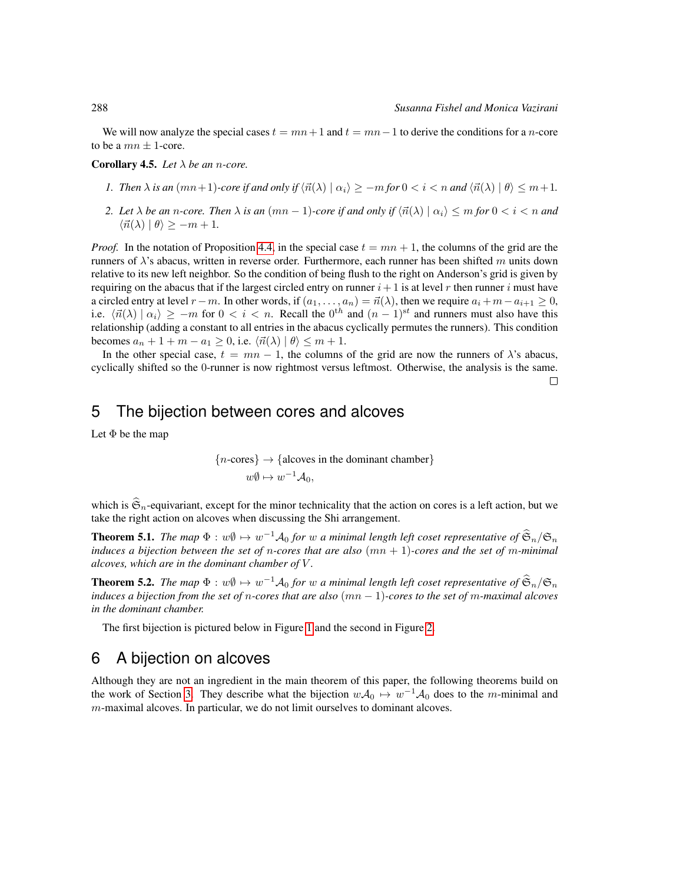We will now analyze the special cases  $t = mn + 1$  and  $t = mn - 1$  to derive the conditions for a *n*-core to be a  $mn \pm 1$ -core.

Corollary 4.5. *Let* λ *be an* n*-core.*

- *1. Then*  $\lambda$  *is an* ( $mn+1$ *)-core if and only if*  $\langle \vec{n}(\lambda) | \alpha_i \rangle \ge -m$  *for*  $0 < i < n$  *and*  $\langle \vec{n}(\lambda) | \theta \rangle \le m+1$ .
- *2.* Let  $\lambda$  be an n-core. Then  $\lambda$  is an  $(mn-1)$ -core if and only if  $\langle \vec{n}(\lambda) | \alpha_i \rangle \leq m$  for  $0 < i < n$  and  $\langle \vec{n}(\lambda) | \theta \rangle \geq -m + 1.$

*Proof.* In the notation of Proposition [4.4,](#page-4-1) in the special case  $t = mn + 1$ , the columns of the grid are the runners of  $\lambda$ 's abacus, written in reverse order. Furthermore, each runner has been shifted m units down relative to its new left neighbor. So the condition of being flush to the right on Anderson's grid is given by requiring on the abacus that if the largest circled entry on runner  $i+1$  is at level r then runner i must have a circled entry at level  $r - m$ . In other words, if  $(a_1, \ldots, a_n) = \vec{n}(\lambda)$ , then we require  $a_i + m - a_{i+1} \geq 0$ , i.e.  $\langle \vec{n}(\lambda) | \alpha_i \rangle \ge -m$  for  $0 < i < n$ . Recall the  $0^{th}$  and  $(n-1)^{st}$  and runners must also have this relationship (adding a constant to all entries in the abacus cyclically permutes the runners). This condition becomes  $a_n + 1 + m - a_1 \geq 0$ , i.e.  $\langle \vec{n}(\lambda) | \theta \rangle \leq m + 1$ .

In the other special case,  $t = mn - 1$ , the columns of the grid are now the runners of  $\lambda$ 's abacus, cyclically shifted so the 0-runner is now rightmost versus leftmost. Otherwise, the analysis is the same.  $\Box$ 

### <span id="page-5-0"></span>5 The bijection between cores and alcoves

Let  $\Phi$  be the map

{*n*-cores} → {alcoves in the dominant chamber}  

$$
w\emptyset \mapsto w^{-1}A_0,
$$

which is  $\hat{\mathfrak{S}}_n$ -equivariant, except for the minor technicality that the action on cores is a left action, but we take the right action on alcoves when discussing the Shi arrangement.

**Theorem 5.1.** *The map*  $\Phi : w\emptyset \mapsto w^{-1}A_0$  *for* w *a minimal length left coset representative of*  $\widehat{\mathfrak{S}}_n/\mathfrak{S}_n$ *induces a bijection between the set of* n*-cores that are also* (mn + 1)*-cores and the set of* m*-minimal alcoves, which are in the dominant chamber of* V *.*

**Theorem 5.2.** *The map*  $\Phi: w\emptyset \mapsto w^{-1}A_0$  *for* w *a minimal length left coset representative of*  $\hat{\mathfrak{S}}_n/\mathfrak{S}_n$ *induces a bijection from the set of* n*-cores that are also* (mn − 1)*-cores to the set of* m*-maximal alcoves in the dominant chamber.*

The first bijection is pictured below in Figure [1](#page-6-0) and the second in Figure [2.](#page-6-1)

### <span id="page-5-1"></span>6 A bijection on alcoves

Although they are not an ingredient in the main theorem of this paper, the following theorems build on the work of Section [3.](#page-2-0) They describe what the bijection  $w A_0 \mapsto w^{-1} A_0$  does to the m-minimal and m-maximal alcoves. In particular, we do not limit ourselves to dominant alcoves.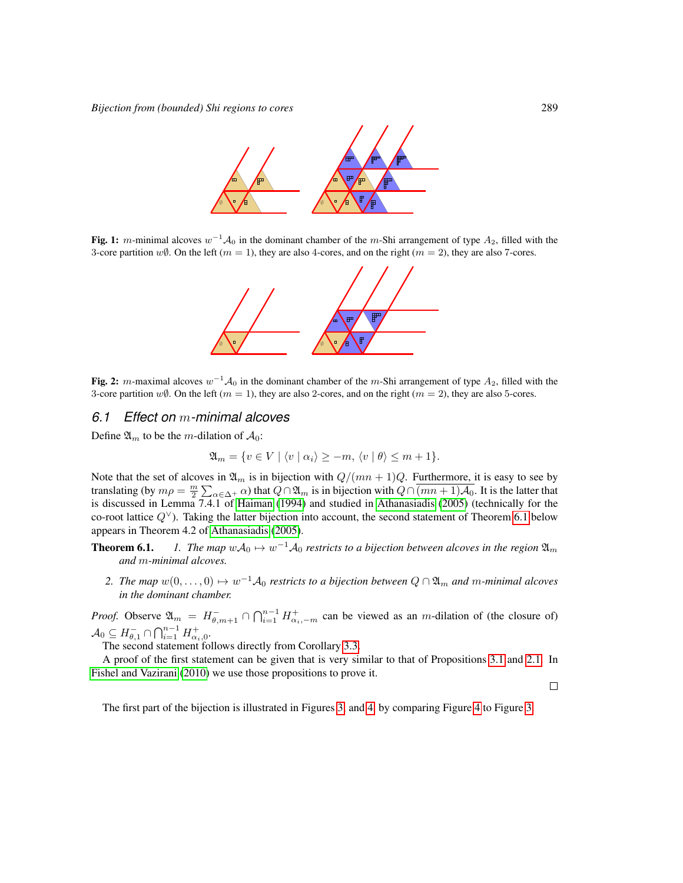

<span id="page-6-0"></span>Fig. 1: m-minimal alcoves  $w^{-1}A_0$  in the dominant chamber of the m-Shi arrangement of type  $A_2$ , filled with the 3-core partition w $\emptyset$ . On the left ( $m = 1$ ), they are also 4-cores, and on the right ( $m = 2$ ), they are also 7-cores.



<span id="page-6-1"></span>Fig. 2: m-maximal alcoves  $w^{-1}A_0$  in the dominant chamber of the m-Shi arrangement of type  $A_2$ , filled with the 3-core partition  $w\emptyset$ . On the left  $(m = 1)$ , they are also 2-cores, and on the right  $(m = 2)$ , they are also 5-cores.

#### *6.1 Effect on* m*-minimal alcoves*

Define  $\mathfrak{A}_m$  to be the *m*-dilation of  $\mathcal{A}_0$ :

$$
\mathfrak{A}_m = \{ v \in V \mid \langle v \mid \alpha_i \rangle \ge -m, \langle v \mid \theta \rangle \le m+1 \}.
$$

Note that the set of alcoves in  $\mathfrak{A}_m$  is in bijection with  $Q/(mn+1)Q$ . Furthermore, it is easy to see by translating (by  $m\rho = \frac{m}{2} \sum_{\alpha \in \Delta^+} \alpha$ ) that  $Q \cap \mathfrak{A}_m$  is in bijection with  $Q \cap \overline{(mn+1)\mathcal{A}_0}$ . It is the latter that is discussed in Lemma 7.4.1 of [Haiman](#page-11-9) [\(1994\)](#page-11-9) and studied in [Athanasiadis](#page-11-10) [\(2005\)](#page-11-10) (technically for the co-root lattice  $Q^{\vee}$ ). Taking the latter bijection into account, the second statement of Theorem [6.1](#page-6-2) below appears in Theorem 4.2 of [Athanasiadis](#page-11-10) [\(2005\)](#page-11-10).

- <span id="page-6-2"></span>**Theorem 6.1.** *1. The map*  $wA_0 \mapsto w^{-1}A_0$  *restricts to a bijection between alcoves in the region*  $\mathfrak{A}_m$ *and* m*-minimal alcoves.*
	- 2. The map  $w(0,\ldots,0) \mapsto w^{-1}A_0$  restricts to a bijection between  $Q \cap \mathfrak{A}_m$  and m-minimal alcoves *in the dominant chamber.*

*Proof.* Observe  $\mathfrak{A}_m = H_{\theta,m+1}^- \cap \bigcap_{i=1}^{n-1} H_{\alpha_i,-m}^+$  can be viewed as an *m*-dilation of (the closure of)  $\mathcal{A}_0 \subseteq H_{\theta,1}^- \cap \bigcap_{i=1}^{n-1} H_{\alpha_i,0}^+$ .

The second statement follows directly from Corollary [3.3.](#page-3-1)

A proof of the first statement can be given that is very similar to that of Propositions [3.1](#page-2-2) and [2.1.](#page-2-1) In [Fishel and Vazirani](#page-11-0) [\(2010\)](#page-11-0) we use those propositions to prove it.

 $\Box$ 

The first part of the bijection is illustrated in Figures [3,](#page-7-0) and [4,](#page-7-1) by comparing Figure [4](#page-7-1) to Figure [3.](#page-7-0)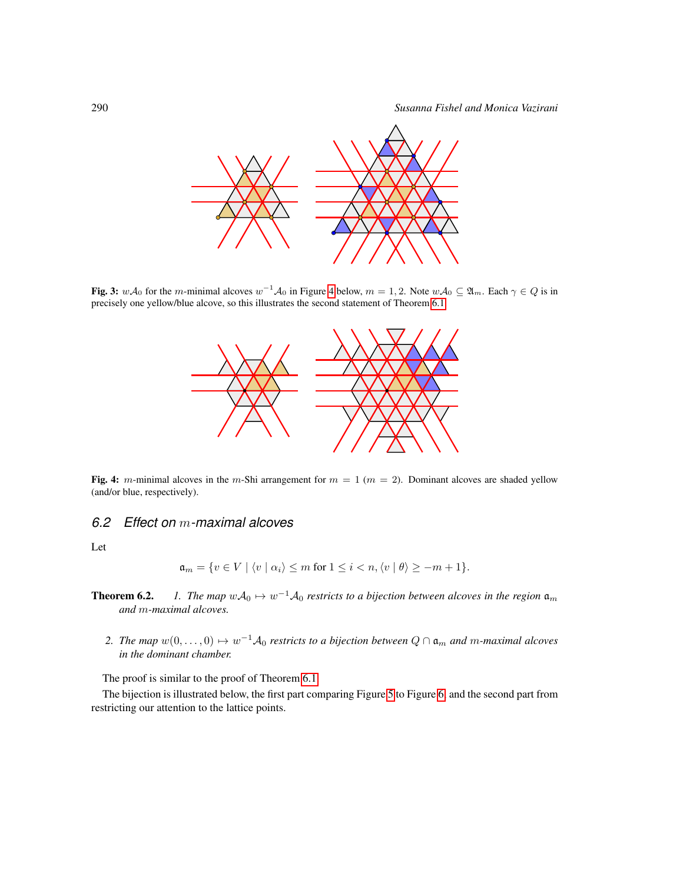

<span id="page-7-0"></span>Fig. 3:  $w\mathcal{A}_0$  for the m-minimal alcoves  $w^{-1}\mathcal{A}_0$  in Figure [4](#page-7-1) below,  $m=1,2$ . Note  $w\mathcal{A}_0\subseteq \mathfrak{A}_m$ . Each  $\gamma\in Q$  is in precisely one yellow/blue alcove, so this illustrates the second statement of Theorem [6.1.](#page-6-2)



<span id="page-7-1"></span>Fig. 4: m-minimal alcoves in the m-Shi arrangement for  $m = 1$  ( $m = 2$ ). Dominant alcoves are shaded yellow (and/or blue, respectively).

### *6.2 Effect on* m*-maximal alcoves*

Let

$$
\mathfrak{a}_m = \{ v \in V \mid \langle v \mid \alpha_i \rangle \leq m \text{ for } 1 \leq i < n, \langle v \mid \theta \rangle \geq -m+1 \}.
$$

- <span id="page-7-2"></span>**Theorem 6.2.** *1. The map*  $wA_0 \mapsto w^{-1}A_0$  *restricts to a bijection between alcoves in the region*  $\mathfrak{a}_m$ *and* m*-maximal alcoves.*
	- 2. The map  $w(0,\ldots,0) \mapsto w^{-1}A_0$  restricts to a bijection between  $Q \cap \mathfrak{a}_m$  and m-maximal alcoves *in the dominant chamber.*

The proof is similar to the proof of Theorem [6.1.](#page-6-2)

The bijection is illustrated below, the first part comparing Figure [5](#page-8-1) to Figure [6,](#page-8-2) and the second part from restricting our attention to the lattice points.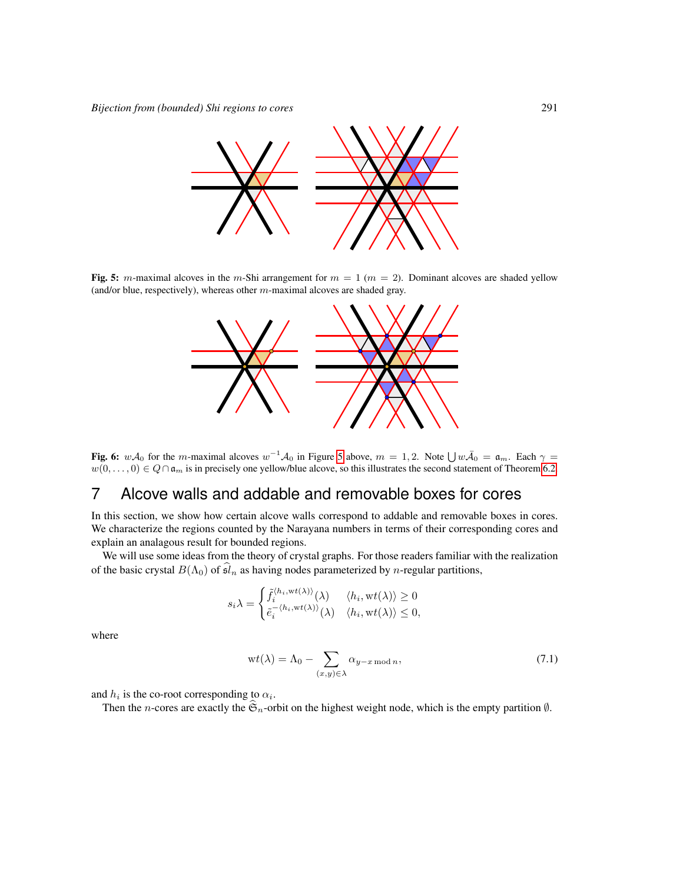

<span id="page-8-1"></span>Fig. 5: m-maximal alcoves in the m-Shi arrangement for  $m = 1$  ( $m = 2$ ). Dominant alcoves are shaded yellow (and/or blue, respectively), whereas other  $m$ -maximal alcoves are shaded gray.



<span id="page-8-2"></span>Fig. 6:  $w\mathcal{A}_0$  for the m-maximal alcoves  $w^{-1}\mathcal{A}_0$  in Figure [5](#page-8-1) above,  $m = 1, 2$ . Note  $\bigcup w\overline{\mathcal{A}}_0 = \mathfrak{a}_m$ . Each  $\gamma =$  $w(0,\ldots,0) \in Q \cap \mathfrak{a}_m$  is in precisely one yellow/blue alcove, so this illustrates the second statement of Theorem [6.2.](#page-7-2)

### <span id="page-8-0"></span>7 Alcove walls and addable and removable boxes for cores

In this section, we show how certain alcove walls correspond to addable and removable boxes in cores. We characterize the regions counted by the Narayana numbers in terms of their corresponding cores and explain an analagous result for bounded regions.

We will use some ideas from the theory of crystal graphs. For those readers familiar with the realization of the basic crystal  $B(\Lambda_0)$  of  $\widehat{\mathfrak{sl}}_n$  as having nodes parameterized by *n*-regular partitions,

$$
s_i \lambda = \begin{cases} \tilde{f}_i^{\langle h_i, \text{wt}(\lambda) \rangle}(\lambda) & \langle h_i, \text{wt}(\lambda) \rangle \ge 0 \\ \tilde{e}_i^{-\langle h_i, \text{wt}(\lambda) \rangle}(\lambda) & \langle h_i, \text{wt}(\lambda) \rangle \le 0, \end{cases}
$$

where

<span id="page-8-3"></span>
$$
wt(\lambda) = \Lambda_0 - \sum_{(x,y)\in\lambda} \alpha_{y-x \bmod n},\tag{7.1}
$$

and  $h_i$  is the co-root corresponding to  $\alpha_i$ .

Then the n-cores are exactly the  $\mathfrak{S}_n$ -orbit on the highest weight node, which is the empty partition  $\emptyset$ .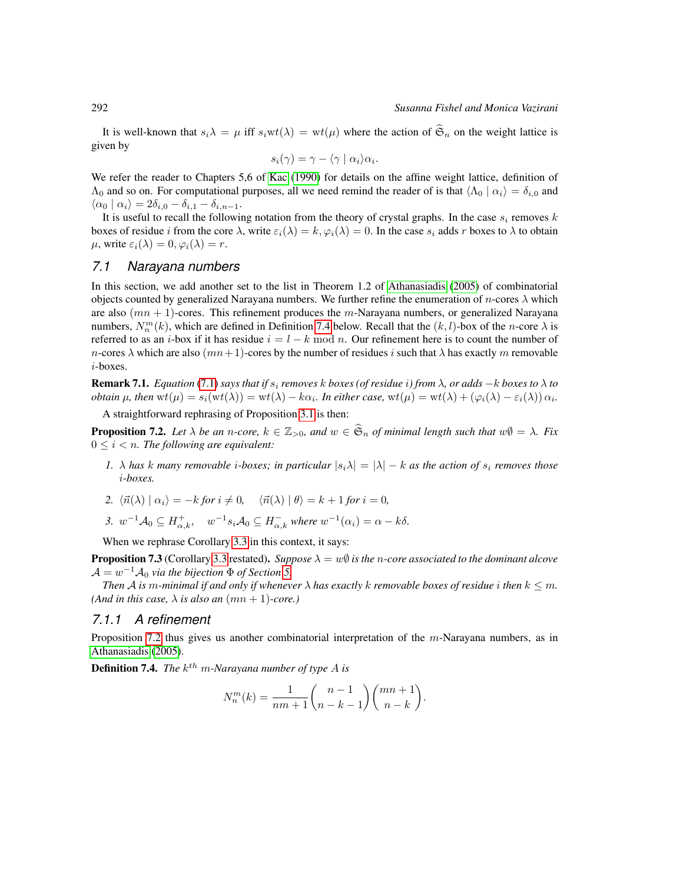It is well-known that  $s_i\lambda = \mu$  iff  $s_iwt(\lambda) = wt(\mu)$  where the action of  $\hat{\mathfrak{S}}_n$  on the weight lattice is given by

$$
s_i(\gamma) = \gamma - \langle \gamma \mid \alpha_i \rangle \alpha_i.
$$

We refer the reader to Chapters 5,6 of [Kac](#page-11-3) [\(1990\)](#page-11-3) for details on the affine weight lattice, definition of  $\Lambda_0$  and so on. For computational purposes, all we need remind the reader of is that  $\Lambda_0 | \alpha_i \rangle = \delta_{i,0}$  and  $\langle \alpha_0 | \alpha_i \rangle = 2\delta_{i,0} - \delta_{i,1} - \delta_{i,n-1}.$ 

It is useful to recall the following notation from the theory of crystal graphs. In the case  $s_i$  removes k boxes of residue i from the core  $\lambda$ , write  $\varepsilon_i(\lambda) = k$ ,  $\varphi_i(\lambda) = 0$ . In the case  $s_i$  adds r boxes to  $\lambda$  to obtain  $\mu$ , write  $\varepsilon_i(\lambda) = 0$ ,  $\varphi_i(\lambda) = r$ .

#### *7.1 Narayana numbers*

In this section, we add another set to the list in Theorem 1.2 of [Athanasiadis](#page-11-10) [\(2005\)](#page-11-10) of combinatorial objects counted by generalized Narayana numbers. We further refine the enumeration of *n*-cores  $\lambda$  which are also  $(mn + 1)$ -cores. This refinement produces the m-Narayana numbers, or generalized Narayana numbers,  $N_n^m(k)$ , which are defined in Definition [7.4](#page-9-0) below. Recall that the  $(k, l)$ -box of the n-core  $\lambda$  is referred to as an i-box if it has residue  $i = l - k \mod n$ . Our refinement here is to count the number of n-cores  $\lambda$  which are also  $(mn+1)$ -cores by the number of residues i such that  $\lambda$  has exactly m removable i-boxes.

<span id="page-9-2"></span>**Remark 7.1.** *Equation* [\(7.1\)](#page-8-3) *says that if*  $s_i$  *removes*  $k$  *boxes* (*of residue i*) *from*  $\lambda$ *, or adds*  $-k$  *boxes* to  $\lambda$  to *obtain*  $\mu$ , then  $\mathrm{wt}(\mu) = s_i(\mathrm{wt}(\lambda)) = \mathrm{wt}(\lambda) - k\alpha_i$ . In either case,  $\mathrm{wt}(\mu) = \mathrm{wt}(\lambda) + (\varphi_i(\lambda) - \varepsilon_i(\lambda))\alpha_i$ .

A straightforward rephrasing of Proposition [3.1](#page-2-2) is then:

<span id="page-9-1"></span>**Proposition 7.2.** *Let*  $\lambda$  *be an n*-core,  $k \in \mathbb{Z}_{>0}$ , and  $w \in \hat{\mathfrak{S}}_n$  of minimal length such that  $w\emptyset = \lambda$ . Fix  $0 \leq i < n$ . The following are equivalent:

- *1.*  $\lambda$  *has* k many removable *i*-boxes; in particular  $|s_i \lambda| = |\lambda| k$  as the action of  $s_i$  removes those i*-boxes.*
- *2.*  $\langle \vec{n}(\lambda) | \alpha_i \rangle = -k$  *for*  $i \neq 0$ ,  $\langle \vec{n}(\lambda) | \theta \rangle = k + 1$  *for*  $i = 0$ *,*
- 3.  $w^{-1}A_0 \subseteq H_{\alpha,k}^+$ ,  $w^{-1}s_iA_0 \subseteq H_{\alpha,k}^-$  where  $w^{-1}(\alpha_i) = \alpha k\delta$ .

When we rephrase Corollary [3.3](#page-3-1) in this context, it says:

**Proposition 7.3** (Corollary [3.3](#page-3-1) restated). *Suppose*  $\lambda = w\emptyset$  *is the n-core associated to the dominant alcove*  $\mathcal{A} = w^{-1} \mathcal{A}_0$  *via the bijection*  $\Phi$  *of Section [5.](#page-5-0)* 

*Then A is* m-minimal if and only if whenever  $\lambda$  *has exactly* k *removable boxes of residue i then*  $k \leq m$ *. (And in this case,*  $\lambda$  *is also an*  $(mn + 1)$ *-core.)* 

### *7.1.1 A refinement*

Proposition [7.2](#page-9-1) thus gives us another combinatorial interpretation of the m-Narayana numbers, as in [Athanasiadis](#page-11-10) [\(2005\)](#page-11-10).

<span id="page-9-0"></span>**Definition 7.4.** The  $k^{th}$  m-Narayana number of type A is

$$
N_n^m(k) = \frac{1}{nm+1} \binom{n-1}{n-k-1} \binom{mn+1}{n-k}.
$$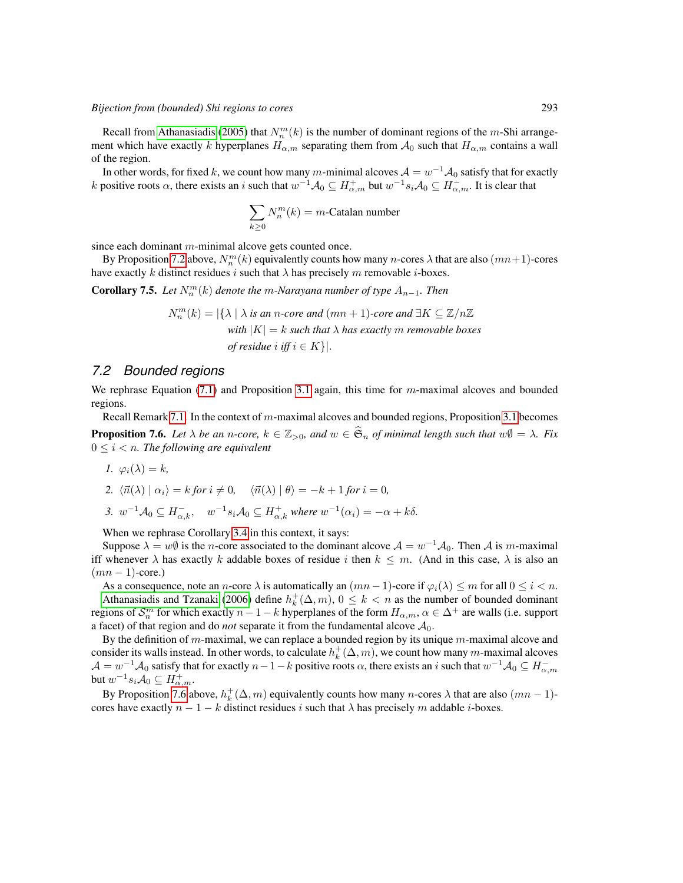Recall from [Athanasiadis](#page-11-10) [\(2005\)](#page-11-10) that  $N_n^m(k)$  is the number of dominant regions of the m-Shi arrangement which have exactly k hyperplanes  $H_{\alpha,m}$  separating them from  $\mathcal{A}_0$  such that  $H_{\alpha,m}$  contains a wall of the region.

In other words, for fixed  $k$ , we count how many  $m$ -minimal alcoves  $\mathcal{A}=w^{-1}\mathcal{A}_0$  satisfy that for exactly k positive roots  $\alpha$ , there exists an i such that  $w^{-1}A_0 \subseteq H_{\alpha,m}^+$  but  $w^{-1}s_iA_0 \subseteq H_{\alpha,m}^-$ . It is clear that

$$
\sum_{k\geq 0} N_n^m(k) = m\text{-Catalan number}
$$

since each dominant  $m$ -minimal alcove gets counted once.

By Proposition [7.2](#page-9-1) above,  $N_n^m(k)$  equivalently counts how many n-cores  $\lambda$  that are also  $(mn+1)$ -cores have exactly k distinct residues i such that  $\lambda$  has precisely m removable *i*-boxes.

**Corollary 7.5.** Let  $N_n^m(k)$  denote the m-Narayana number of type  $A_{n-1}$ . Then

$$
N_n^m(k) = |\{\lambda \mid \lambda \text{ is an } n\text{-core and } (mn+1)\text{-core and } \exists K \subseteq \mathbb{Z}/n\mathbb{Z}
$$
  
with  $|K| = k$  such that  $\lambda$  has exactly m removable boxes  
of residue  $i$  iff  $i \in K\}|.$ 

#### *7.2 Bounded regions*

We rephrase Equation [\(7.1\)](#page-8-3) and Proposition [3.1](#page-2-2) again, this time for m-maximal alcoves and bounded regions.

<span id="page-10-0"></span>Recall Remark [7.1.](#page-9-2) In the context of  $m$ -maximal alcoves and bounded regions, Proposition [3.1](#page-2-2) becomes **Proposition 7.6.** *Let*  $\lambda$  *be an n*-core,  $k \in \mathbb{Z}_{>0}$ , and  $w \in \hat{\mathfrak{S}}_n$  of minimal length such that  $w\emptyset = \lambda$ . Fix  $0 \leq i < n$ . The following are equivalent

$$
1. \ \varphi_i(\lambda) = k,
$$

2. 
$$
\langle \vec{n}(\lambda) | \alpha_i \rangle = k \text{ for } i \neq 0, \quad \langle \vec{n}(\lambda) | \theta \rangle = -k + 1 \text{ for } i = 0,
$$

3.  $w^{-1}A_0 \subseteq H_{\alpha,k}^-$ ,  $w^{-1}s_iA_0 \subseteq H_{\alpha,k}^+$  where  $w^{-1}(\alpha_i) = -\alpha + k\delta$ .

When we rephrase Corollary [3.4](#page-3-2) in this context, it says:

Suppose  $\lambda = w\emptyset$  is the *n*-core associated to the dominant alcove  $\mathcal{A} = w^{-1}\mathcal{A}_0$ . Then  $\mathcal{A}$  is *m*-maximal iff whenever  $\lambda$  has exactly k addable boxes of residue i then  $k \leq m$ . (And in this case,  $\lambda$  is also an  $(mn - 1)$ -core.)

As a consequence, note an *n*-core  $\lambda$  is automatically an  $(mn-1)$ -core if  $\varphi_i(\lambda) \leq m$  for all  $0 \leq i < n$ .

[Athanasiadis and Tzanaki](#page-11-11) [\(2006\)](#page-11-11) define  $h_k^+(\Delta, m)$ ,  $0 \le k < n$  as the number of bounded dominant regions of  $\mathcal{S}_n^m$  for which exactly  $n-1-k$  hyperplanes of the form  $H_{\alpha,m}, \alpha \in \Delta^+$  are walls (i.e. support a facet) of that region and do *not* separate it from the fundamental alcove  $A_0$ .

By the definition of m-maximal, we can replace a bounded region by its unique  $m$ -maximal alcove and consider its walls instead. In other words, to calculate  $h_k^+(\Delta, m)$ , we count how many m-maximal alcoves  $\mathcal{A}=w^{-1}\mathcal{A}_0$  satisfy that for exactly  $n-1-k$  positive roots  $\alpha$ , there exists an i such that  $w^{-1}\mathcal{A}_0\subseteq H_{\alpha,m}^$ but  $w^{-1} s_i A_0 \subseteq H^+_{\alpha,m}$ .

By Proposition [7.6](#page-10-0) above,  $h_k^+ (\Delta, m)$  equivalently counts how many n-cores  $\lambda$  that are also  $(mn - 1)$ cores have exactly  $n - 1 - k$  distinct residues i such that  $\lambda$  has precisely m addable i-boxes.